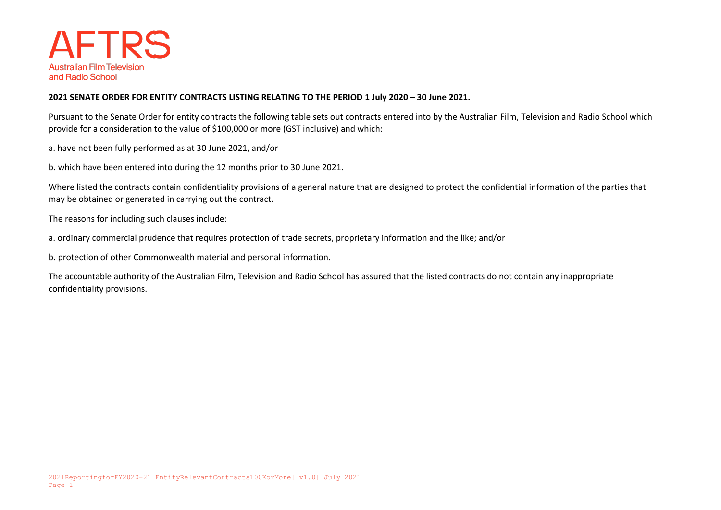

## **2021 SENATE ORDER FOR ENTITY CONTRACTS LISTING RELATING TO THE PERIOD 1 July 2020 – 30 June 2021.**

Pursuant to the Senate Order for entity contracts the following table sets out contracts entered into by the Australian Film, Television and Radio School which provide for a consideration to the value of \$100,000 or more (GST inclusive) and which:

a. have not been fully performed as at 30 June 2021, and/or

b. which have been entered into during the 12 months prior to 30 June 2021.

Where listed the contracts contain confidentiality provisions of a general nature that are designed to protect the confidential information of the parties that may be obtained or generated in carrying out the contract.

The reasons for including such clauses include:

a. ordinary commercial prudence that requires protection of trade secrets, proprietary information and the like; and/or

b. protection of other Commonwealth material and personal information.

The accountable authority of the Australian Film, Television and Radio School has assured that the listed contracts do not contain any inappropriate confidentiality provisions.